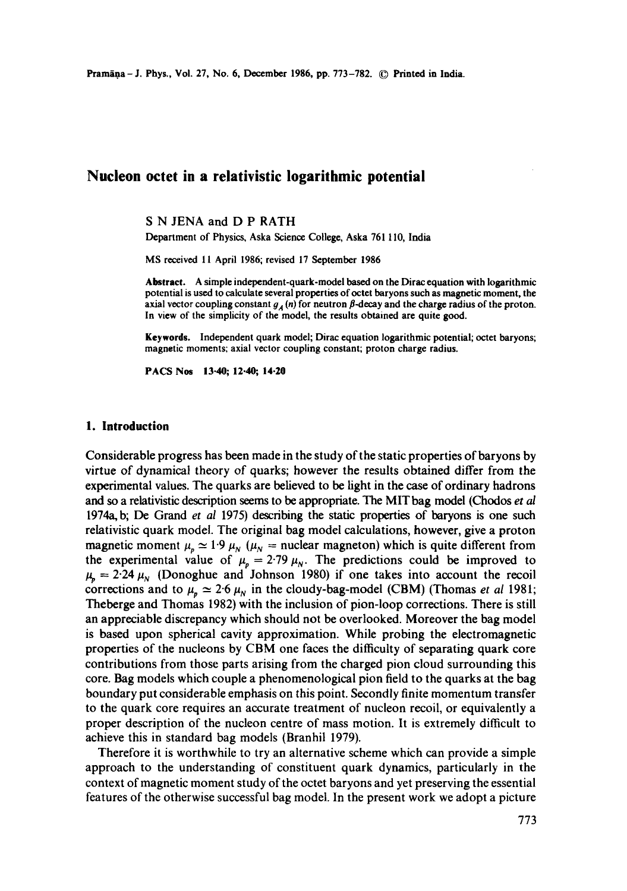# **Nucleon octet in a relativistic logarithmic potential**

S N JENA and D P RATH

Department of Physics, Aska Science College, Aska 7611 I0, India

MS received 11 April 1986; revised 17 September 1986

Abstract. A simple independent-quark-model based on the Dirac equation with logarithmic potential is used to calculate several properties of octet baryons such as magnetic moment, **the**  axial vector coupling constant  $g_A(n)$  for neutron  $\beta$ -decay and the charge radius of the proton. In view of the simplicity of the model, the results obtained are quite good.

**Keywords.** Independent quark model; Dirac equation logarithmic potential; octet baryons; magnetic moments; axial vector coupling constant; proton charge radius.

**PACS Nos 13.40; 12.40; 14.20** 

### **1. Introduction**

Considerable progress has been made in the study of the static properties of baryons by virtue of dynamical theory of quarks; however the results obtained differ from the experimental values. The quarks are believed to be light in the case of ordinary hadrons and so a relativistic description seems to be appropriate. The MIT bag model (Chodos *et al*  1974a, b; De Grand *et al* 1975) describing the static properties of baryons is one such relativistic quark model. The original bag model calculations, however, give a proton magnetic moment  $\mu_p \approx 1.9~\mu_N$  ( $\mu_N$  = nuclear magneton) which is quite different from the experimental value of  $\mu_p = 2.79 \mu_N$ . The predictions could be improved to  $\mu_{\rm p} = 2.24 \mu_{\rm N}$  (Donoghue and Johnson 1980) if one takes into account the recoil corrections and to  $\mu_n \approx 2.6 \mu_N$  in the cloudy-bag-model (CBM) (Thomas *et al* 1981; Theberge and Thomas 1982) with the inclusion of pion-loop corrections. There is still an appreciable discrepancy which should not be overlooked. Moreover the bag model is based upon spherical cavity approximation. While probing the electromagnetic properties of the nucleons by CBM one faces the difficulty of separating quark core contributions from those parts arising from the charged pion cloud surrounding this core. Bag models which couple a phenomenological pion field to the quarks at the bag boundary put considerable emphasis on this point. Secondly finite momentum transfer to the quark core requires an accurate treatment of nucleon recoil, or equivalently a proper description of the nucleon centre of mass motion. It is extremely difficult to achieve this in standard bag models (Branhil 1979).

Therefore it is worthwhile to try an alternative scheme which can provide a simple approach to the understanding of constituent quark dynamics, particularly in the context of magnetic moment study of the octet baryons and yet preserving the essential features of the otherwise successful bag model. In the present work we adopt a picture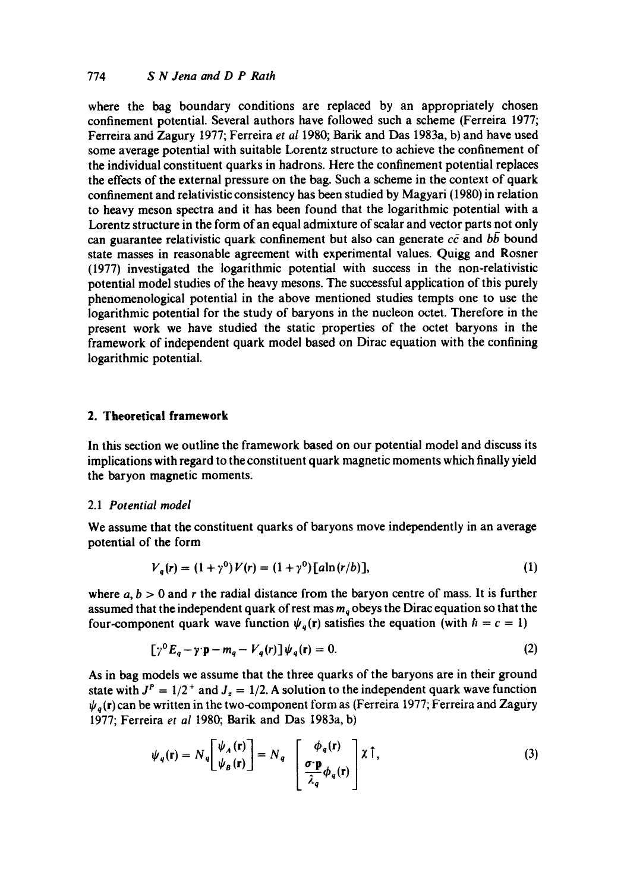where the bag boundary conditions are replaced by an appropriately chosen confinement potential. Several authors have followed such a scheme (Ferreira 1977; Ferreira and Zagury 1977; Ferreira et al 1980; Barik and Das 1983a, b) and have used some average potential with suitable Lorentz structure to achieve the confinement of the individual constituent quarks in hadrons. Here the confinement potential replaces the effects of the external pressure on the bag. Such a scheme in the context of quark confinement and relativistic consistency has been studied by Magyari (1980) in relation to heavy meson spectra and it has been found that the logarithmic potential with a Lorentz structure in the form of an equal admixture of scalar and vector parts not only can guarantee relativistic quark confinement but also can generate  $c\bar{c}$  and  $b\bar{b}$  bound state masses in reasonable agreement with experimental values. Quigg and Rosner (1977) investigated the logarithmic potential with success in the non-relativistic potential model studies of the heavy mesons. The successful application of tbis purely phenomenological potential in the above mentioned studies tempts one to use the logarithmic potential for the study of baryons in the nucleon octet. Therefore in the present work we have studied the static properties of the octet baryons in the framework of independent quark model based on Dirac equation with the confining logarithmic potential.

# **2. Theoretical framework**

In this section we outline the framework based on our potential model and discuss its implications with regard to the constituent quark magnetic moments which finally yield the baryon magnetic moments.

#### 2.1 *Potential model*

We assume that the constituent quarks of baryons move independently in an average potential of the form

$$
V_a(r) = (1 + \gamma^0) V(r) = (1 + \gamma^0) [a \ln(r/b)], \qquad (1)
$$

where  $a, b > 0$  and r the radial distance from the baryon centre of mass. It is further assumed that the independent quark of rest mas  $m<sub>a</sub>$  obeys the Dirac equation so that the four-component quark wave function  $\psi_q(r)$  satisfies the equation (with  $\hbar = c = 1$ )

$$
[\gamma^0 E_q - \gamma \cdot \mathbf{p} - m_q - V_q(r)] \psi_q(\mathbf{r}) = 0. \tag{2}
$$

As in bag models we assume that the three quarks of the baryons are in their ground state with  $J<sup>P</sup> = 1/2<sup>+</sup>$  and  $J<sub>z</sub> = 1/2$ . A solution to the independent quark wave function  $\psi_a({\bf r})$  can be written in the two-component form as (Ferreira 1977; Ferreira and Zagury 1977; Ferreira et *al* 1980; Batik and Das 1983a, b)

$$
\psi_q(\mathbf{r}) = N_q \left[ \frac{\psi_A(\mathbf{r})}{\psi_B(\mathbf{r})} \right] = N_q \left[ \frac{\phi_q(\mathbf{r})}{\frac{\sigma \cdot \mathbf{p}}{\lambda_q} \phi_q(\mathbf{r})} \right] \chi \uparrow,
$$
\n(3)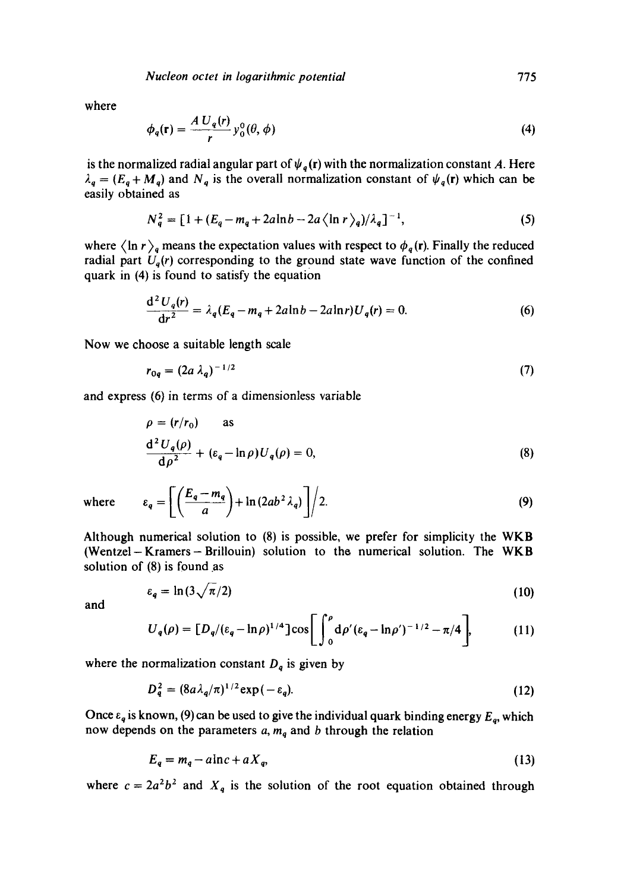*Nucleon octet in logarithmic potential* 775

where

$$
\phi_q(\mathbf{r}) = \frac{A U_q(r)}{r} y_0^0(\theta, \phi) \tag{4}
$$

is the normalized radial angular part of  $\psi_q(r)$  with the normalization constant A. Here  $\lambda_q = (E_q + M_q)$  and  $N_q$  is the overall normalization constant of  $\psi_q(\mathbf{r})$  which can be easily obtained as

$$
N_q^2 = [1 + (E_q - m_q + 2a\ln b - 2a\ln r)_q / \lambda_q]^{-1},
$$
 (5)

where  $\langle \ln r \rangle_q$  means the expectation values with respect to  $\phi_q(r)$ . Finally the reduced radial part  $U_q(r)$  corresponding to the ground state wave function of the confined quark in (4) is found to satisfy the equation

$$
\frac{d^2 U_q(r)}{dr^2} = \lambda_q (E_q - m_q + 2a \ln b - 2a \ln r) U_q(r) = 0.
$$
 (6)

Now we choose a suitable length scale

$$
r_{0q} = (2a \lambda_q)^{-1/2} \tag{7}
$$

and express (6) in terms of a dimensionless variable

$$
\rho = (r/r_0) \quad \text{as}
$$
  

$$
\frac{d^2 U_q(\rho)}{d\rho^2} + (\varepsilon_q - \ln \rho) U_q(\rho) = 0,
$$
 (8)

where 
$$
\varepsilon_q = \left[ \left( \frac{E_q - m_q}{a} \right) + \ln(2ab^2 \lambda_q) \right] / 2.
$$
 (9)

Although numerical solution to (8) is possible, we prefer for simplicity the WKB (Wentzel-Kramers-Brillouin) solution to the numerical solution. The WKB solution of (8) is found as

$$
\varepsilon_q = \ln(3\sqrt{\pi}/2) \tag{10}
$$

and

$$
U_q(\rho) = [D_q/(\varepsilon_q - \ln \rho)^{1/4}] \cos \left[ \int_0^{\rho} d\rho' (\varepsilon_q - \ln \rho')^{-1/2} - \pi/4 \right],
$$
 (11)

where the normalization constant  $D_q$  is given by

$$
D_q^2 = (8a\lambda_q/\pi)^{1/2} \exp(-\varepsilon_q). \tag{12}
$$

Once  $\varepsilon_q$  is known, (9) can be used to give the individual quark binding energy  $E_q$ , which now depends on the parameters  $a, m_q$  and b through the relation

$$
E_q = m_q - a \ln c + a X_q, \tag{13}
$$

where  $c = 2a^2b^2$  and  $X_q$  is the solution of the root equation obtained through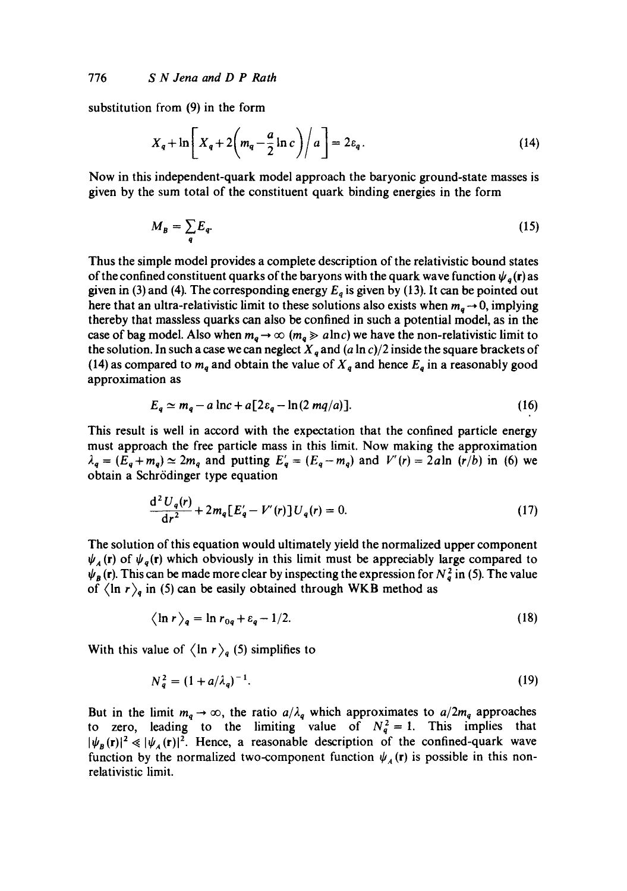substitution from (9) in the form

$$
X_q + \ln\left[X_q + 2\left(m_q - \frac{a}{2}\ln c\right)\middle/a\right] = 2\varepsilon_q.
$$
 (14)

Now in this independent-quark model approach the baryonic ground-state masses is given by the sum total of the constituent quark binding energies in the form

$$
M_B = \sum_q E_q. \tag{15}
$$

Thus the simple model provides a complete description of the relativistic bound states of the confined constituent quarks of the baryons with the quark wave function  $\psi$ <sub>a</sub>(r) as given in (3) and (4). The corresponding energy  $E_q$  is given by (13). It can be pointed out here that an ultra-relativistic limit to these solutions also exists when  $m_a \rightarrow 0$ , implying thereby that massless quarks can also be confined in such a potential model, as in the case of bag model. Also when  $m_q \to \infty$  ( $m_q \gg a \ln c$ ) we have the non-relativistic limit to the solution. In such a case we can neglect  $X_q$  and  $(a \ln c)/2$  inside the square brackets of (14) as compared to  $m_q$  and obtain the value of  $X_q$  and hence  $E_q$  in a reasonably good approximation as

$$
E_q \simeq m_q - a \ln c + a \left[ 2\varepsilon_q - \ln(2 \, mq/a) \right]. \tag{16}
$$

This result is well in accord with the expectation that the confined particle energy must approach the free particle mass in this limit. Now making the approximation  $\lambda_q = (E_q + m_q) \simeq 2m_q$  and putting  $E'_q = (E_q - m_q)$  and  $V'(r) = 2a \ln (r/b)$  in (6) we obtain a Schrödinger type equation

$$
\frac{d^2 U_q(r)}{dr^2} + 2m_q [E'_q - V'(r)] U_q(r) = 0.
$$
 (17)

The solution of this equation would ultimately yield the normalized upper component  $\psi_A$  (r) of  $\psi_q$ (r) which obviously in this limit must be appreciably large compared to  $\psi_B(r)$ . This can be made more clear by inspecting the expression for  $N_q^2$  in (5). The value of  $\langle \ln r \rangle_q$  in (5) can be easily obtained through WKB method as

$$
\langle \ln r \rangle_q = \ln r_{0q} + \varepsilon_q - 1/2. \tag{18}
$$

With this value of  $\langle \ln r \rangle_q$  (5) simplifies to

$$
N_a^2 = (1 + a/\lambda_a)^{-1}.
$$
 (19)

But in the limit  $m_q \to \infty$ , the ratio  $a/\lambda_q$  which approximates to  $a/2m_q$  approaches to zero, leading to the limiting value of  $N_q^2 = 1$ . This implies that  $|\psi_B({\bf r})|^2 \ll |\psi_A({\bf r})|^2$ . Hence, a reasonable description of the confined-quark wave function by the normalized two-component function  $\psi_A(\mathbf{r})$  is possible in this nonrelativistic limit.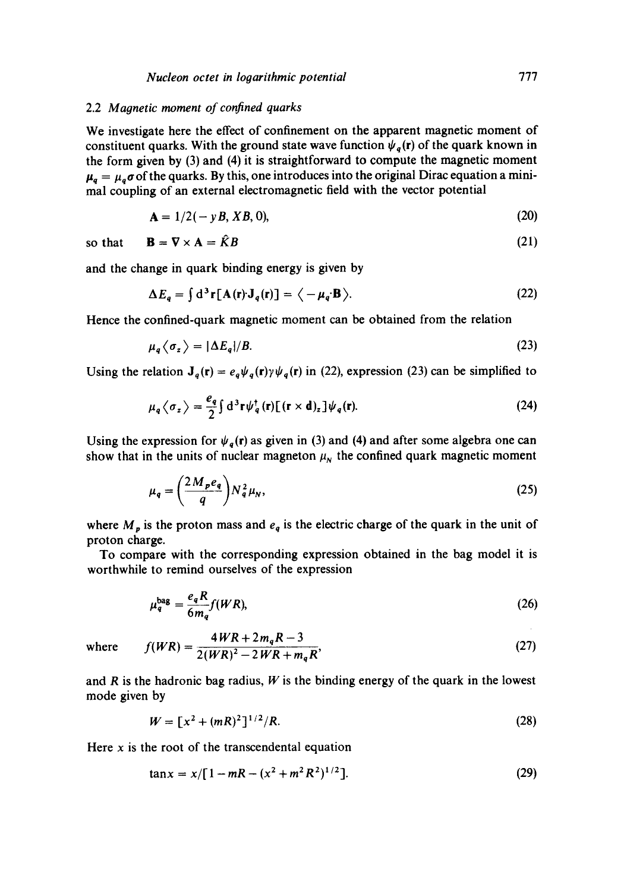## 2.2 *Magnetic moment of confined quarks*

We investigate here the effect of confinement on the apparent magnetic moment of constituent quarks. With the ground state wave function  $\psi_q(\mathbf{r})$  of the quark known in the form given by (3) and (4) it is straightforward to compute the magnetic moment  $\mu_a = \mu_a \sigma$  of the quarks. By this, one introduces into the original Dirac equation a minimal coupling of an external electromagnetic field with the vector potential

$$
A = 1/2(-yB, XB, 0), \t(20)
$$

so that  $\mathbf{B} = \nabla \times \mathbf{A} = \hat{K}B$  (21)

and the change in quark binding energy is given by

$$
\Delta E_q = \int d^3 \mathbf{r} [\mathbf{A}(\mathbf{r}) \mathbf{J}_q(\mathbf{r})] = \langle -\mu_q \mathbf{B} \rangle. \tag{22}
$$

Hence the confined-quark magnetic moment can be obtained from the relation

$$
\mu_q \langle \sigma_z \rangle = |\Delta E_q| / B. \tag{23}
$$

Using the relation  $J_q(r) = e_q \psi_q(r) \gamma \psi_q(r)$  in (22), expression (23) can be simplified to

$$
\mu_q \langle \sigma_z \rangle = \frac{e_q}{2} \int d^3 \mathbf{r} \psi_q^{\dagger}(\mathbf{r}) \left[ (\mathbf{r} \times \mathbf{d})_z \right] \psi_q(\mathbf{r}). \tag{24}
$$

Using the expression for  $\psi_a(r)$  as given in (3) and (4) and after some algebra one can show that in the units of nuclear magneton  $\mu_N$  the confined quark magnetic moment

$$
\mu_q = \left(\frac{2M_p e_q}{q}\right) N_q^2 \mu_N,\tag{25}
$$

where  $M_p$  is the proton mass and  $e_q$  is the electric charge of the quark in the unit of proton charge.

To compare with the corresponding expression obtained in the bag model it is worthwhile to remind ourselves of the expression

$$
\mu_q^{\text{bag}} = \frac{e_q R}{6m_q} f(WR),\tag{26}
$$

where 
$$
f(WR) = \frac{4WR + 2m_qR - 3}{2(WR)^2 - 2WR + m_qR}
$$
, (27)

and R is the hadronic bag radius,  $W$  is the binding energy of the quark in the lowest mode given by

$$
W = [x^2 + (mR)^2]^{1/2}/R.
$$
 (28)

Here  $x$  is the root of the transcendental equation

$$
\tan x = x / [1 - mR - (x^2 + m^2 R^2)^{1/2}]. \tag{29}
$$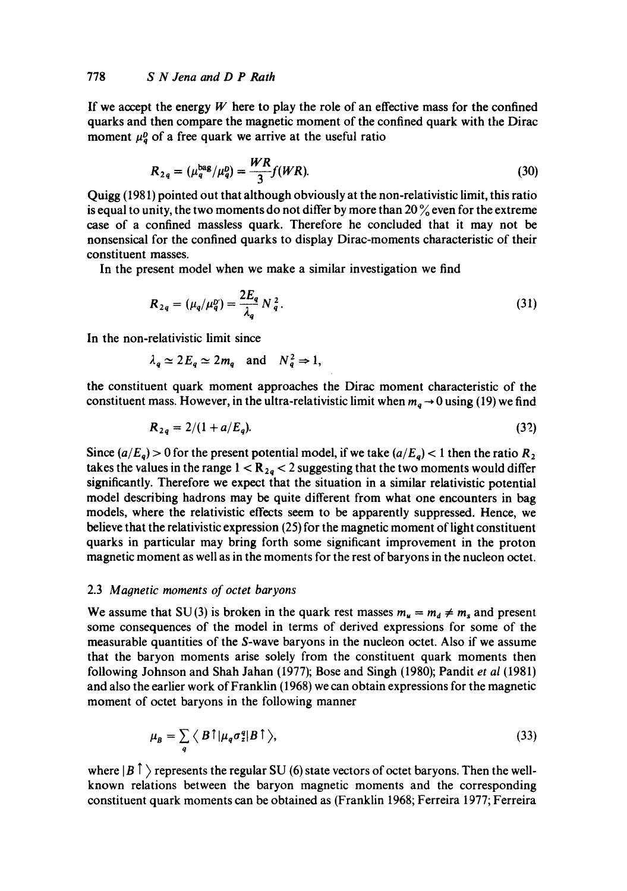If we accept the energy  $W$  here to play the role of an effective mass for the confined quarks and then compare the magnetic moment of the confined quark with the Dirac moment  $\mu^b_a$  of a free quark we arrive at the useful ratio

$$
R_{2q} = (\mu_q^{\text{bag}}/\mu_q^{\text{D}}) = \frac{WR}{3} f(WR). \tag{30}
$$

Quigg (1981) pointed out that although obviously at the non-relativistic limit, this ratio is equal to unity, the two moments do not differ by more than  $20\%$  even for the extreme case of a confined massless quark. Therefore he concluded that it may not be nonsensical for the confined quarks to display Dirac-moments characteristic of their constituent masses.

In the present model when we make a similar investigation we find

$$
R_{2q} = (\mu_q/\mu_q^0) = \frac{2E_q}{\lambda_q} N_q^2.
$$
 (31)

In the non-relativistic limit since

$$
\lambda_a \simeq 2E_a \simeq 2m_a
$$
 and  $N_a^2 \Rightarrow 1$ ,

the constituent quark moment approaches the Dirac moment characteristic of the constituent mass. However, in the ultra-relativistic limit when  $m_a \rightarrow 0$  using (19) we find

$$
R_{2q} = 2/(1 + a/E_q). \tag{32}
$$

Since  $(a/E_q) > 0$  for the present potential model, if we take  $(a/E_q) < 1$  then the ratio  $R_2$ takes the values in the range  $1 < R_{2q} < 2$  suggesting that the two moments would differ significantly. Therefore we expect that the situation in a similar relativistic potential model describing hadrons may be quite different from what one encounters in bag models, where the relativistic effects seem to be apparently suppressed. Hence, we believe that the relativistic expression (25) for the magnetic moment of light constituent quarks in particular may bring forth some significant improvement in the proton magnetic moment as well as in the moments for the rest of baryons in the nucleon octet.

## 2.3 *Magnetic moments of octet baryons*

We assume that SU(3) is broken in the quark rest masses  $m_u = m_d \neq m_s$  and present some consequences of the model in terms of derived expressions for some of the measurable quantities of the S-wave baryons in the nucleon octet. Also if we assume that the baryon moments arise solely from the constituent quark moments then following Johnson and Shah Jahan (1977); Bose and Singh (1980); Pandit *et al* (1981) and also the earlier work of Franklin (1968) we can obtain expressions for the magnetic moment of octet baryons in the following manner

$$
\mu_B = \sum_q \langle B \uparrow | \mu_q \sigma_z^q | B \uparrow \rangle, \tag{33}
$$

where  $|B|$   $\uparrow$   $\uparrow$  represents the regular SU (6) state vectors of octet baryons. Then the wellknown relations between the baryon magnetic moments and the corresponding constituent quark moments can be obtained as (Franklin 1968; Ferreira 1977; Ferreira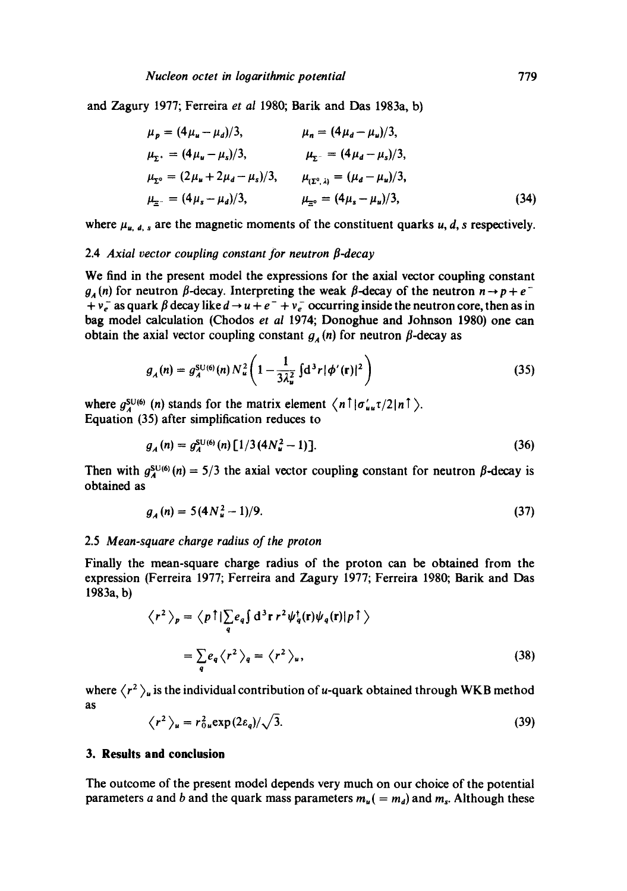and Zagury 1977; Ferreira *et al* 1980; Barik and Das 1983a, b)

$$
\mu_{p} = (4\mu_{u} - \mu_{d})/3, \qquad \mu_{n} = (4\mu_{d} - \mu_{u})/3, \n\mu_{\Sigma^{*}} = (4\mu_{u} - \mu_{s})/3, \qquad \mu_{\Sigma^{-}} = (4\mu_{d} - \mu_{s})/3, \n\mu_{\Sigma^{0}} = (2\mu_{u} + 2\mu_{d} - \mu_{s})/3, \qquad \mu_{(\Sigma^{0}, \lambda)} = (\mu_{d} - \mu_{u})/3, \n\mu_{\Xi^{-}} = (4\mu_{s} - \mu_{d})/3, \qquad \mu_{\Xi^{0}} = (4\mu_{s} - \mu_{u})/3, \qquad (34)
$$

where  $\mu_{u, d, s}$  are the magnetic moments of the constituent quarks u, d, s respectively.

#### 2.4 *Axial vector couplino constant for neutron fl-decay*

We find in the present model the expressions for the axial vector coupling constant  $g_A(n)$  for neutron  $\beta$ -decay. Interpreting the weak  $\beta$ -decay of the neutron  $n \rightarrow p + e^-$ +  $v_e^-$  as quark  $\beta$  decay like  $d \rightarrow u + e^- + v_e^-$  occurring inside the neutron core, then as in bag model calculation (Chodos *et al* 1974; Donoghue and Johnson 1980) one can obtain the axial vector coupling constant  $g_A(n)$  for neutron  $\beta$ -decay as

$$
g_{A}(n) = g_{A}^{\text{SU(6)}}(n) N_{u}^{2} \left(1 - \frac{1}{3\lambda_{u}^{2}} \int d^{3}r |\phi'(r)|^{2}\right)
$$
 (35)

where  $g_A^{\text{SU(6)}}$  (n) stands for the matrix element  $\langle n | \sigma'_{uu} \tau/2 | n | \rangle$ . Equation (35) after simplification reduces to

$$
g_A(n) = g_A^{\text{SU}(6)}(n) \left[ 1/3 \left( 4N_u^2 - 1 \right) \right]. \tag{36}
$$

Then with  $g_{\lambda}^{\text{SU}(6)}(n) = 5/3$  the axial vector coupling constant for neutron  $\beta$ -decay is obtained as

$$
g_A(n) = 5(4N_u^2 - 1)/9. \tag{37}
$$

#### 2.5 *Mean-square charoe radius of the proton*

Finally the mean-square charge radius of the proton can be obtained from the expression (Ferreira 1977; Ferreira and Zagury 1977; Ferreira 1980; Barik and Das 1983a, b)

$$
\langle r^2 \rangle_p = \langle p \uparrow | \sum_q e_q \int d^3 \mathbf{r} \, r^2 \psi_q^{\dagger}(\mathbf{r}) \psi_q(\mathbf{r}) | p \uparrow \rangle
$$
  
= 
$$
\sum_q e_q \langle r^2 \rangle_q = \langle r^2 \rangle_u,
$$
 (38)

where  $\langle r^2 \rangle_u$  is the individual contribution of u-quark obtained through WKB method as

$$
\langle r^2 \rangle_u = r_{0u}^2 \exp(2\varepsilon_q) / \sqrt{3}.
$$
 (39)

#### **3. Results and conclusion**

The outcome of the present model depends very much on our choice of the potential parameters a and b and the quark mass parameters  $m_u$  ( =  $m_d$ ) and  $m_s$ . Although these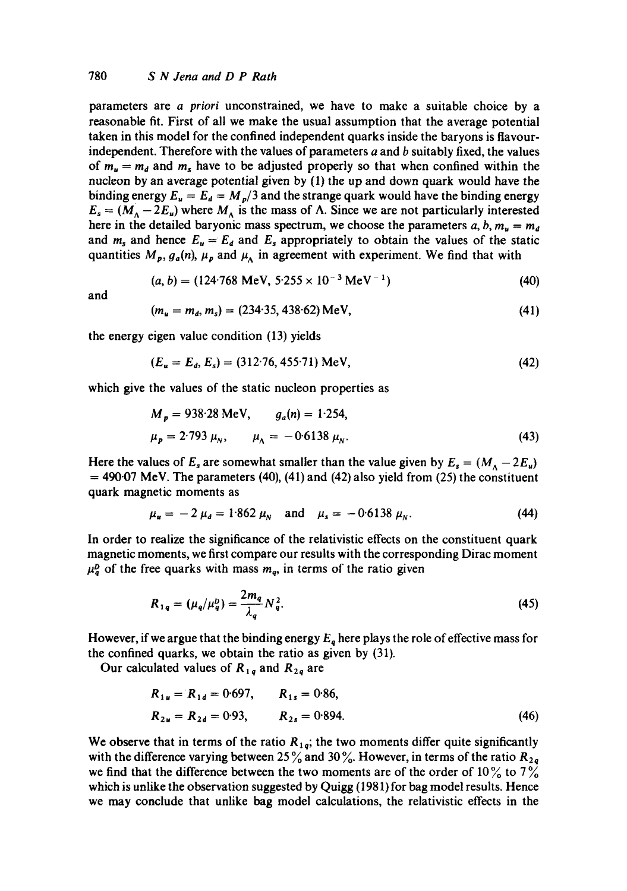parameters are *a priori* unconstrained, we have to make a suitable choice by a reasonable fit. First of all we make the usual assumption that the average potential taken in this model for the confined independent quarks inside the baryons is flavourindependent. Therefore with the values of parameters  $a$  and  $b$  suitably fixed, the values of  $m_u = m_d$  and  $m_s$  have to be adjusted properly so that when confined within the nucleon by an average potential given by (1) the up and down quark would have the binding energy  $E_u = E_d = M_p/3$  and the strange quark would have the binding energy  $E_s = (M_A - 2E_u)$  where  $M_A$  is the mass of  $\Lambda$ . Since we are not particularly interested here in the detailed baryonic mass spectrum, we choose the parameters a, b,  $m_u = m_d$ and  $m_s$  and hence  $E_u = E_d$  and  $E_s$  appropriately to obtain the values of the static quantities  $M_p$ ,  $g_a(n)$ ,  $\mu_p$  and  $\mu_A$  in agreement with experiment. We find that with

$$
(a, b) = (124.768 \text{ MeV}, 5.255 \times 10^{-3} \text{ MeV}^{-1})
$$
 (40)

and

$$
(m_u = m_d, m_s) = (234.35, 438.62) \,\text{MeV},\tag{41}
$$

the energy eigen value condition (13) yields

$$
(E_u = E_d, E_s) = (312.76, 455.71) \text{ MeV},\tag{42}
$$

which give the values of the static nucleon properties as

$$
M_p = 938.28 \text{ MeV}, \qquad g_a(n) = 1.254,
$$
  

$$
\mu_p = 2.793 \mu_N, \qquad \mu_A = -0.6138 \mu_N.
$$
 (43)

Here the values of  $E_s$  are somewhat smaller than the value given by  $E_s = (M_A - 2E_u)$  $= 490.07$  MeV. The parameters (40), (41) and (42) also yield from (25) the constituent quark magnetic moments as

$$
\mu_u = -2 \mu_d = 1.862 \mu_N \quad \text{and} \quad \mu_s = -0.6138 \mu_N. \tag{44}
$$

In order to realize the significance of the relativistic effects on the constituent quark magnetic moments, we first compare our results with the corresponding Dirac moment  $\mu_q^b$  of the free quarks with mass  $m_q$ , in terms of the ratio given

$$
R_{1q} = (\mu_q/\mu_q^D) = \frac{2m_q}{\lambda_q} N_q^2.
$$
 (45)

However, if we argue that the binding energy  $E_q$  here plays the role of effective mass for the confined quarks, we obtain the ratio as given by (31).

Our calculated values of  $R_{1q}$  and  $R_{2q}$  are

$$
R_{1u} = R_{1d} = 0.697, \t R_{1s} = 0.86,
$$
  
\n
$$
R_{2u} = R_{2d} = 0.93, \t R_{2s} = 0.894.
$$
\n(46)

We observe that in terms of the ratio  $R_{1q}$ ; the two moments differ quite significantly with the difference varying between 25% and 30%. However, in terms of the ratio  $R_{2q}$ we find that the difference between the two moments are of the order of  $10\%$  to  $7\%$ which is unlike the observation suggested by Quigg (1981) for bag model results. Hence we may conclude that unlike bag model calculations, the relativistic effects in the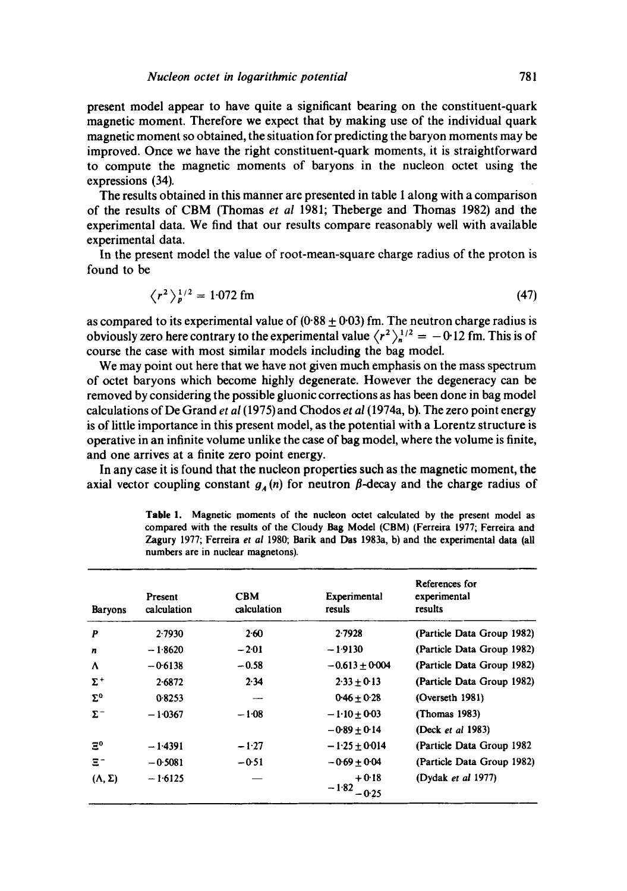present model appear to have quite a significant bearing on the constituent-quark magnetic moment. Therefore we expect that by making use of the individual quark magnetic moment so obtained, the situation for predicting the baryon moments may be improved. Once we have the right constituent-quark moments, it is straightforward to compute the magnetic moments of baryons in the nucleon octet using the expressions (34).

The results obtained in this manner are presented in table 1 along with a comparison of the results of CBM (Thomas *et al* 1981; Theberge and Thomas 1982) and the experimental data. We find that our results compare reasonably well with available experimental data.

In the present model the value of root-mean-square charge radius of the proton is found to be

$$
\langle r^2 \rangle_p^{1/2} = 1.072 \text{ fm} \tag{47}
$$

as compared to its experimental value of  $(0.88 \pm 0.03)$  fm. The neutron charge radius is obviously zero here contrary to the experimental value  $\langle r^2 \rangle_0^{1/2} = -0.12$  fm. This is of course the case with most similar models including the bag model.

We may point out here that we have not given much emphasis on the mass spectrum of octet baryons which become highly degenerate. However the degeneracy can be removed by considering the possible gluonic corrections as has been done in bag model calculations of De Grand *et al (1975)* and Chodos *et al* (1974a, b). The zero point energy is of little importance in this present model, as the potential with a Lorentz structure is operative in an infinite volume unlike the case of bag model, where the volume is finite, and one arrives at a finite zero point energy.

In any case it is found that the nucleon properties such as the magnetic moment, the axial vector coupling constant  $g_{\mu}(n)$  for neutron  $\beta$ -decay and the charge radius of

| <b>Baryons</b>      | Present<br>calculation | <b>CBM</b><br>calculation | Experimental<br>resuls        | References for<br>experimental<br>results |
|---------------------|------------------------|---------------------------|-------------------------------|-------------------------------------------|
| P                   | 2.7930                 | 2.60                      | 2.7928                        | (Particle Data Group 1982)                |
| n                   | $-1.8620$              | $-2.01$                   | $-1.9130$                     | (Particle Data Group 1982)                |
| Λ                   | $-0.6138$              | $-0.58$                   | $-0.613 \pm 0.004$            | (Particle Data Group 1982)                |
| $\Sigma^+$          | 2.6872                 | 2.34                      | $2.33 \pm 0.13$               | (Particle Data Group 1982)                |
| $\Sigma^0$          | 0.8253                 |                           | $0.46 \pm 0.28$               | (Overseth 1981)                           |
| $\Sigma^-$          | $-1.0367$              | $-1.08$                   | $-1.10 + 0.03$                | (Thomas 1983)                             |
|                     |                        |                           | $-0.89 + 0.14$                | (Deck <i>et al</i> 1983)                  |
| $\Xi^0$             | $-1.4391$              | $-1.27$                   | $-1.25 + 0.014$               | (Particle Data Group 1982)                |
| $\Xi^-$             | $-0.5081$              | -051                      | $-0.69 + 0.04$                | (Particle Data Group 1982)                |
| $(\Lambda, \Sigma)$ | $-1.6125$              |                           | $+0.18$<br>$-1.82$<br>$-0.25$ | (Dydak et al 1977)                        |

**Table** 1. Magnetic moments of **the nucleon** octet calculated by the present model as compared with the results of the Cloudy Bag Model (CBM) (Ferreira 1977; Ferreira **and**  Zagury 1977; Ferreira *et al* 1980; Barik and Das 1983a, b) and the experimental data (all numbers are in nuclear magnetons).